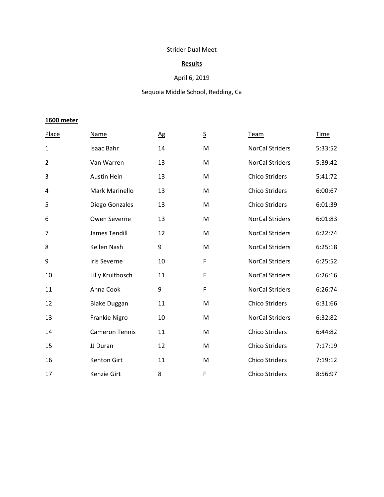# Strider Dual Meet

# **Results**

# April 6, 2019

# Sequoia Middle School, Redding, Ca

#### **meter**

| Place          | <b>Name</b>           | $\overline{\mathsf{A}\mathsf{g}}$ | $\overline{2}$ | Team                   | <u>Time</u> |
|----------------|-----------------------|-----------------------------------|----------------|------------------------|-------------|
| $\mathbf{1}$   | Isaac Bahr            | 14                                | M              | <b>NorCal Striders</b> | 5:33:52     |
| $\overline{2}$ | Van Warren            | 13                                | M              | <b>NorCal Striders</b> | 5:39:42     |
| 3              | <b>Austin Hein</b>    | 13                                | M              | <b>Chico Striders</b>  | 5:41:72     |
| 4              | <b>Mark Marinello</b> | 13                                | M              | <b>Chico Striders</b>  | 6:00:67     |
| 5              | Diego Gonzales        | 13                                | M              | <b>Chico Striders</b>  | 6:01:39     |
| 6              | Owen Severne          | 13                                | M              | <b>NorCal Striders</b> | 6:01:83     |
| 7              | James Tendill         | 12                                | M              | <b>NorCal Striders</b> | 6:22:74     |
| 8              | Kellen Nash           | 9                                 | M              | <b>NorCal Striders</b> | 6:25:18     |
| 9              | <b>Iris Severne</b>   | 10                                | F              | <b>NorCal Striders</b> | 6:25:52     |
| 10             | Lilly Kruitbosch      | 11                                | F              | <b>NorCal Striders</b> | 6:26:16     |
| 11             | Anna Cook             | 9                                 | $\mathsf F$    | <b>NorCal Striders</b> | 6:26:74     |
| 12             | <b>Blake Duggan</b>   | 11                                | M              | <b>Chico Striders</b>  | 6:31:66     |
| 13             | Frankie Nigro         | 10                                | M              | <b>NorCal Striders</b> | 6:32:82     |
| 14             | <b>Cameron Tennis</b> | 11                                | M              | <b>Chico Striders</b>  | 6:44:82     |
| 15             | JJ Duran              | 12                                | M              | <b>Chico Striders</b>  | 7:17:19     |
| 16             | Kenton Girt           | 11                                | M              | <b>Chico Striders</b>  | 7:19:12     |
| 17             | Kenzie Girt           | 8                                 | F              | <b>Chico Striders</b>  | 8:56:97     |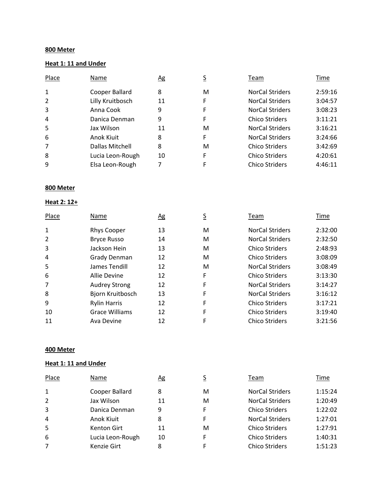# **Meter**

#### **Heat 1: 11 and Under**

| Place        | Name             | Ag | <u>s</u> | Team                   | Time    |
|--------------|------------------|----|----------|------------------------|---------|
| $\mathbf{1}$ | Cooper Ballard   | 8  | M        | <b>NorCal Striders</b> | 2:59:16 |
| 2            | Lilly Kruitbosch | 11 | F        | <b>NorCal Striders</b> | 3:04:57 |
| 3            | Anna Cook        | 9  | F        | <b>NorCal Striders</b> | 3:08:23 |
| 4            | Danica Denman    | 9  | F        | <b>Chico Striders</b>  | 3:11:21 |
| 5            | Jax Wilson       | 11 | м        | <b>NorCal Striders</b> | 3:16:21 |
| 6            | Anok Kiuit       | 8  | F        | <b>NorCal Striders</b> | 3:24:66 |
| 7            | Dallas Mitchell  | 8  | м        | <b>Chico Striders</b>  | 3:42:69 |
| 8            | Lucia Leon-Rough | 10 | F        | <b>Chico Striders</b>  | 4:20:61 |
| 9            | Elsa Leon-Rough  |    |          | <b>Chico Striders</b>  | 4:46:11 |

#### **Meter**

#### **Heat 2: 12+**

| Place        | Name                  | <u>Ag</u> | <u>s</u> | Team                   | Time    |
|--------------|-----------------------|-----------|----------|------------------------|---------|
| $\mathbf{1}$ | <b>Rhys Cooper</b>    | 13        | M        | <b>NorCal Striders</b> | 2:32:00 |
| 2            | <b>Bryce Russo</b>    | 14        | М        | <b>NorCal Striders</b> | 2:32:50 |
| 3            | Jackson Hein          | 13        | M        | <b>Chico Striders</b>  | 2:48:93 |
| 4            | Grady Denman          | 12        | M        | <b>Chico Striders</b>  | 3:08:09 |
| 5            | James Tendill         | 12        | M        | <b>NorCal Striders</b> | 3:08:49 |
| 6            | Allie Devine          | 12        | F        | <b>Chico Striders</b>  | 3:13:30 |
| 7            | <b>Audrey Strong</b>  | 12        | F        | <b>NorCal Striders</b> | 3:14:27 |
| 8            | Bjorn Kruitbosch      | 13        | F        | <b>NorCal Striders</b> | 3:16:12 |
| 9            | <b>Rylin Harris</b>   | 12        | F        | <b>Chico Striders</b>  | 3:17:21 |
| 10           | <b>Grace Williams</b> | 12        | F        | Chico Striders         | 3:19:40 |
| 11           | Ava Devine            | 12        | F        | <b>Chico Striders</b>  | 3:21:56 |

# **Meter**

# **Heat 1: 11 and Under**

| Place | Name             | <u>Аg</u> |   | Team                   | Time    |
|-------|------------------|-----------|---|------------------------|---------|
| 1     | Cooper Ballard   | 8         | м | <b>NorCal Striders</b> | 1:15:24 |
| 2     | Jax Wilson       | 11        | м | <b>NorCal Striders</b> | 1:20:49 |
| 3     | Danica Denman    | 9         | F | <b>Chico Striders</b>  | 1:22:02 |
| 4     | Anok Kiuit       | 8         | F | <b>NorCal Striders</b> | 1:27:01 |
| -5    | Kenton Girt      | 11        | м | <b>Chico Striders</b>  | 1:27:91 |
| 6     | Lucia Leon-Rough | 10        | F | <b>Chico Striders</b>  | 1:40:31 |
| 7     | Kenzie Girt      |           |   | <b>Chico Striders</b>  | 1:51:23 |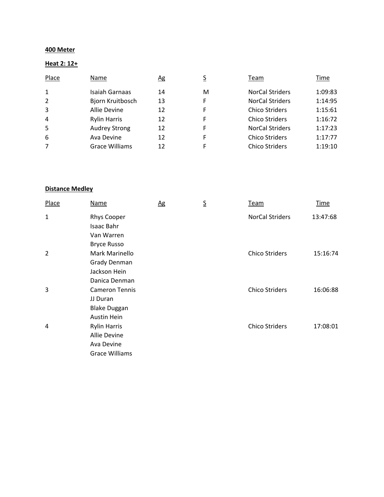# **400 Meter**

#### **Heat 2: 12+**

| Place          | Name                  | <u>Ag</u> |    | Team                   | Time    |
|----------------|-----------------------|-----------|----|------------------------|---------|
| 1              | Isaiah Garnaas        | 14        | м  | <b>NorCal Striders</b> | 1:09:83 |
| $\overline{2}$ | Bjorn Kruitbosch      | 13        | F  | <b>NorCal Striders</b> | 1:14:95 |
| 3              | Allie Devine          | 12        | F  | Chico Striders         | 1:15:61 |
| 4              | <b>Rylin Harris</b>   | 12        | F. | <b>Chico Striders</b>  | 1:16:72 |
| 5              | <b>Audrey Strong</b>  | 12        | F. | <b>NorCal Striders</b> | 1:17:23 |
| 6              | Ava Devine            | 12        | F  | <b>Chico Striders</b>  | 1:17:77 |
| 7              | <b>Grace Williams</b> | 12        |    | <b>Chico Striders</b>  | 1:19:10 |

# **Distance Medley**

| Place | <b>Name</b>                      | $\Delta g$ | $\overline{\mathsf{S}}$ | <u>Team</u>            | <b>Time</b> |
|-------|----------------------------------|------------|-------------------------|------------------------|-------------|
| 1     | <b>Rhys Cooper</b><br>Isaac Bahr |            |                         | <b>NorCal Striders</b> | 13:47:68    |
|       | Van Warren                       |            |                         |                        |             |
|       | <b>Bryce Russo</b>               |            |                         |                        |             |
| 2     | Mark Marinello                   |            |                         | <b>Chico Striders</b>  | 15:16:74    |
|       | Grady Denman                     |            |                         |                        |             |
|       | Jackson Hein                     |            |                         |                        |             |
|       | Danica Denman                    |            |                         |                        |             |
| 3     | <b>Cameron Tennis</b>            |            |                         | <b>Chico Striders</b>  | 16:06:88    |
|       | JJ Duran                         |            |                         |                        |             |
|       | <b>Blake Duggan</b>              |            |                         |                        |             |
|       | <b>Austin Hein</b>               |            |                         |                        |             |
| 4     | <b>Rylin Harris</b>              |            |                         | <b>Chico Striders</b>  | 17:08:01    |
|       | Allie Devine                     |            |                         |                        |             |
|       | Ava Devine                       |            |                         |                        |             |
|       | <b>Grace Williams</b>            |            |                         |                        |             |